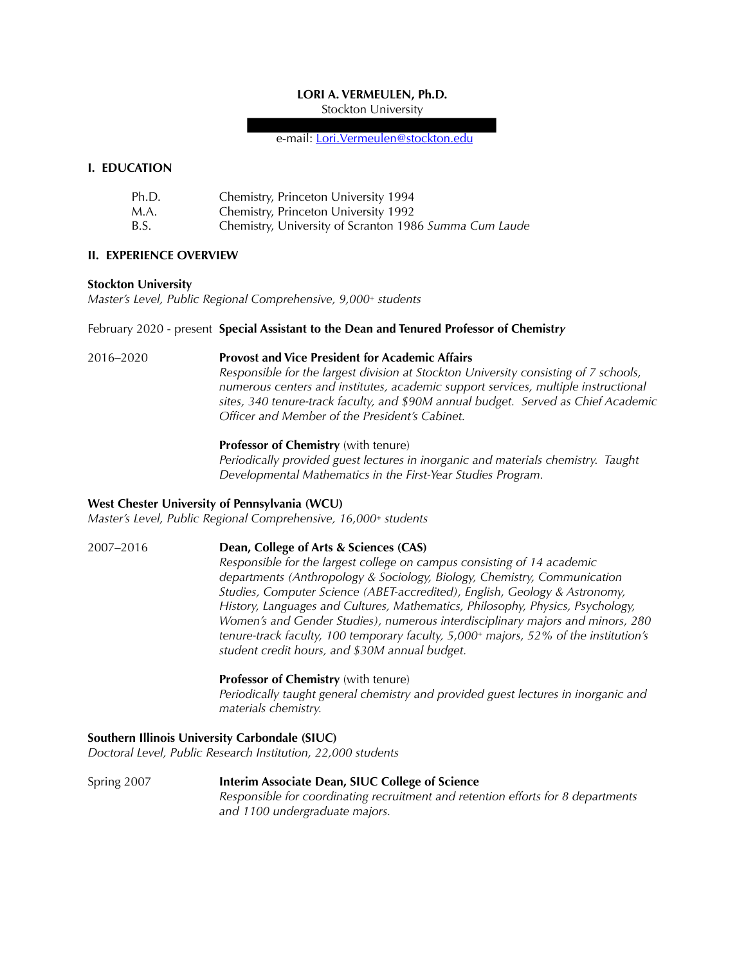## **LORI A. VERMEULEN, Ph.D.**

Stockton University

e-mail: [Lori.Vermeulen@stockton.edu](mailto:vermeulen@chem.siu.edu)

## **I. EDUCATION**

| Ph.D. | Chemistry, Princeton University 1994                   |
|-------|--------------------------------------------------------|
| M.A.  | Chemistry, Princeton University 1992                   |
| B.S.  | Chemistry, University of Scranton 1986 Summa Cum Laude |

## **II. EXPERIENCE OVERVIEW**

#### **Stockton University**

*Master's Level, Public Regional Comprehensive, 9,000+ students* 

#### February 2020 - present **Special Assistant to the Dean and Tenured Professor of Chemistr***y*

2016–2020 **Provost and Vice President for Academic Affairs** *Responsible for the largest division at Stockton University consisting of 7 schools, numerous centers and institutes, academic support services, multiple instructional sites, 340 tenure-track faculty, and \$90M annual budget. Served as Chief Academic Officer and Member of the President's Cabinet.* 

## **Professor of Chemistry** (with tenure)

*Periodically provided guest lectures in inorganic and materials chemistry. Taught Developmental Mathematics in the First-Year Studies Program.* 

#### **West Chester University of Pennsylvania (WCU)**

*Master's Level, Public Regional Comprehensive, 16,000+ students* 

## 2007–2016 **Dean, College of Arts & Sciences (CAS)**

*Responsible for the largest college on campus consisting of 14 academic departments (Anthropology & Sociology, Biology, Chemistry, Communication Studies, Computer Science (ABET-accredited), English, Geology & Astronomy, History, Languages and Cultures, Mathematics, Philosophy, Physics, Psychology, Women's and Gender Studies), numerous interdisciplinary majors and minors, 280 tenure-track faculty, 100 temporary faculty, 5,000+ majors, 52% of the institution's student credit hours, and \$30M annual budget.* 

## **Professor of Chemistry** (with tenure)

*Periodically taught general chemistry and provided guest lectures in inorganic and materials chemistry.* 

## **Southern Illinois University Carbondale (SIUC)**

*Doctoral Level, Public Research Institution, 22,000 students* 

Spring 2007 **Interim Associate Dean, SIUC College of Science**  *Responsible for coordinating recruitment and retention efforts for 8 departments and 1100 undergraduate majors.*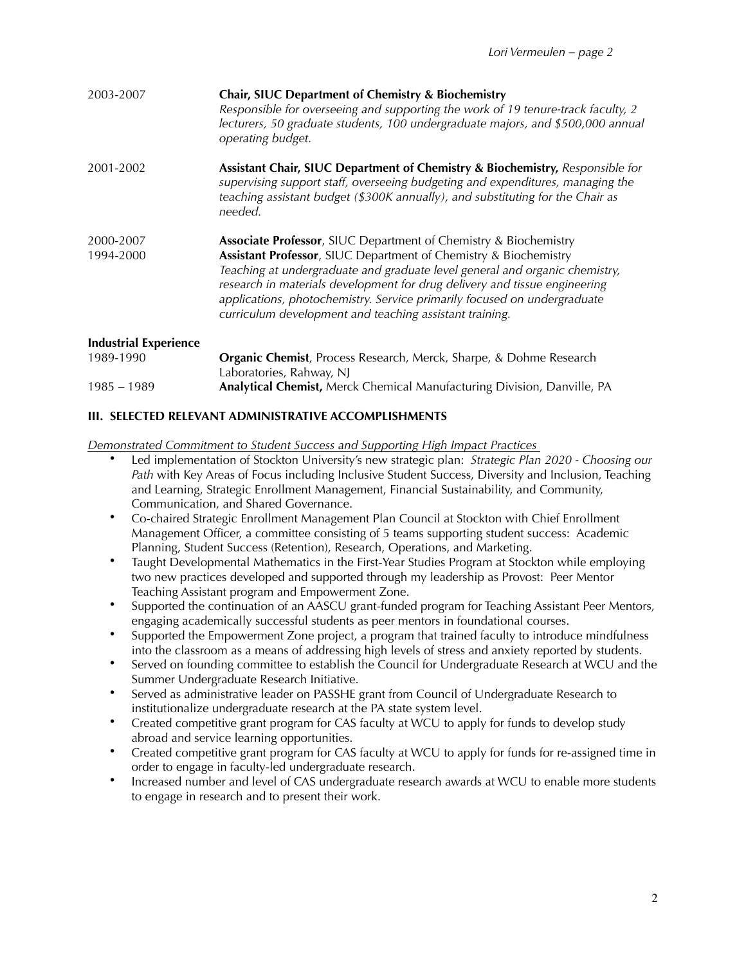| 2003-2007                    | Chair, SIUC Department of Chemistry & Biochemistry<br>Responsible for overseeing and supporting the work of 19 tenure-track faculty, 2<br>lecturers, 50 graduate students, 100 undergraduate majors, and \$500,000 annual<br>operating budget.                                                                                                                                                                                                   |
|------------------------------|--------------------------------------------------------------------------------------------------------------------------------------------------------------------------------------------------------------------------------------------------------------------------------------------------------------------------------------------------------------------------------------------------------------------------------------------------|
| 2001-2002                    | Assistant Chair, SIUC Department of Chemistry & Biochemistry, Responsible for<br>supervising support staff, overseeing budgeting and expenditures, managing the<br>teaching assistant budget (\$300K annually), and substituting for the Chair as<br>needed.                                                                                                                                                                                     |
| 2000-2007<br>1994-2000       | <b>Associate Professor</b> , SIUC Department of Chemistry & Biochemistry<br>Assistant Professor, SIUC Department of Chemistry & Biochemistry<br>Teaching at undergraduate and graduate level general and organic chemistry,<br>research in materials development for drug delivery and tissue engineering<br>applications, photochemistry. Service primarily focused on undergraduate<br>curriculum development and teaching assistant training. |
| <b>Industrial Experience</b> |                                                                                                                                                                                                                                                                                                                                                                                                                                                  |
| 1989-1990                    | Organic Chemist, Process Research, Merck, Sharpe, & Dohme Research<br>Laboratories, Rahway, NJ                                                                                                                                                                                                                                                                                                                                                   |
| $1985 - 1989$                | Analytical Chemist, Merck Chemical Manufacturing Division, Danville, PA                                                                                                                                                                                                                                                                                                                                                                          |

## **III. SELECTED RELEVANT ADMINISTRATIVE ACCOMPLISHMENTS**

*Demonstrated Commitment to Student Success and Supporting High Impact Practices* 

- Led implementation of Stockton University's new strategic plan: *Strategic Plan 2020 Choosing our Path* with Key Areas of Focus including Inclusive Student Success, Diversity and Inclusion, Teaching and Learning, Strategic Enrollment Management, Financial Sustainability, and Community, Communication, and Shared Governance.
- Co-chaired Strategic Enrollment Management Plan Council at Stockton with Chief Enrollment Management Officer, a committee consisting of 5 teams supporting student success: Academic Planning, Student Success (Retention), Research, Operations, and Marketing.
- Taught Developmental Mathematics in the First-Year Studies Program at Stockton while employing two new practices developed and supported through my leadership as Provost: Peer Mentor Teaching Assistant program and Empowerment Zone.
- Supported the continuation of an AASCU grant-funded program for Teaching Assistant Peer Mentors, engaging academically successful students as peer mentors in foundational courses.
- Supported the Empowerment Zone project, a program that trained faculty to introduce mindfulness into the classroom as a means of addressing high levels of stress and anxiety reported by students.
- Served on founding committee to establish the Council for Undergraduate Research at WCU and the Summer Undergraduate Research Initiative.
- Served as administrative leader on PASSHE grant from Council of Undergraduate Research to institutionalize undergraduate research at the PA state system level.
- Created competitive grant program for CAS faculty at WCU to apply for funds to develop study abroad and service learning opportunities.
- Created competitive grant program for CAS faculty at WCU to apply for funds for re-assigned time in order to engage in faculty-led undergraduate research.
- Increased number and level of CAS undergraduate research awards at WCU to enable more students to engage in research and to present their work.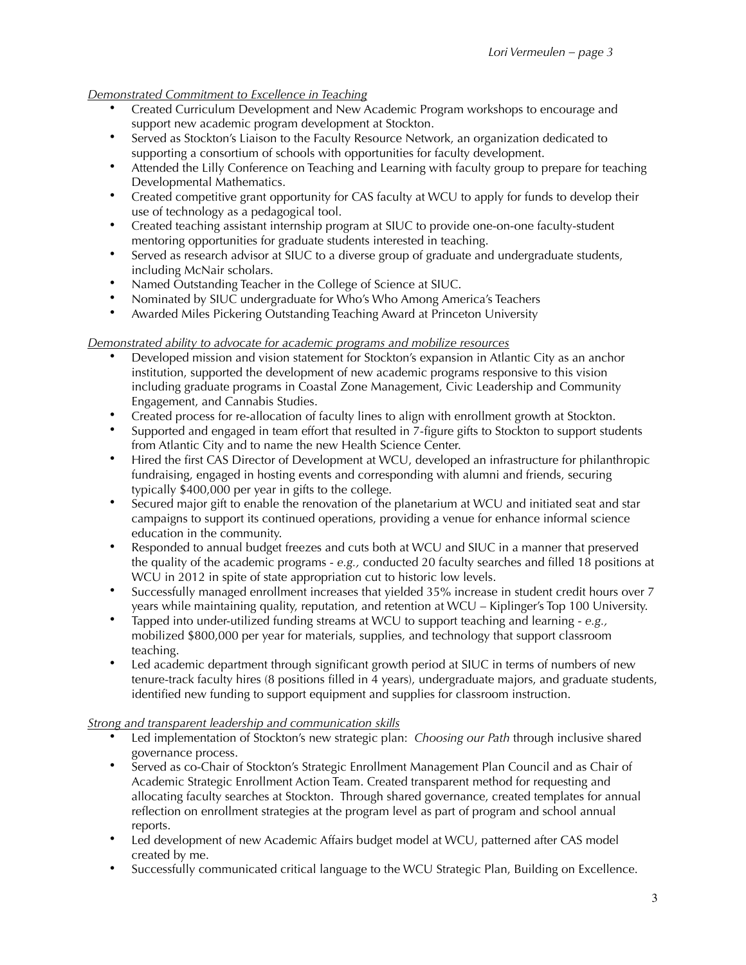# *Demonstrated Commitment to Excellence in Teaching*

- Created Curriculum Development and New Academic Program workshops to encourage and support new academic program development at Stockton.
- Served as Stockton's Liaison to the Faculty Resource Network, an organization dedicated to supporting a consortium of schools with opportunities for faculty development.
- Attended the Lilly Conference on Teaching and Learning with faculty group to prepare for teaching Developmental Mathematics.
- Created competitive grant opportunity for CAS faculty at WCU to apply for funds to develop their use of technology as a pedagogical tool.
- Created teaching assistant internship program at SIUC to provide one-on-one faculty-student mentoring opportunities for graduate students interested in teaching.
- Served as research advisor at SIUC to a diverse group of graduate and undergraduate students, including McNair scholars.
- Named Outstanding Teacher in the College of Science at SIUC.
- Nominated by SIUC undergraduate for Who's Who Among America's Teachers<br>• Awarded Miles Pickering Outstanding Teaching Award at Princeton University
- Awarded Miles Pickering Outstanding Teaching Award at Princeton University

## *Demonstrated ability to advocate for academic programs and mobilize resources*

- Developed mission and vision statement for Stockton's expansion in Atlantic City as an anchor institution, supported the development of new academic programs responsive to this vision including graduate programs in Coastal Zone Management, Civic Leadership and Community Engagement, and Cannabis Studies.
- Created process for re-allocation of faculty lines to align with enrollment growth at Stockton.
- Supported and engaged in team effort that resulted in 7-figure gifts to Stockton to support students from Atlantic City and to name the new Health Science Center.
- Hired the first CAS Director of Development at WCU, developed an infrastructure for philanthropic fundraising, engaged in hosting events and corresponding with alumni and friends, securing typically \$400,000 per year in gifts to the college.
- Secured major gift to enable the renovation of the planetarium at WCU and initiated seat and star campaigns to support its continued operations, providing a venue for enhance informal science education in the community.
- Responded to annual budget freezes and cuts both at WCU and SIUC in a manner that preserved the quality of the academic programs - *e.g.,* conducted 20 faculty searches and filled 18 positions at WCU in 2012 in spite of state appropriation cut to historic low levels.
- Successfully managed enrollment increases that yielded 35% increase in student credit hours over 7 years while maintaining quality, reputation, and retention at WCU – Kiplinger's Top 100 University.
- Tapped into under-utilized funding streams at WCU to support teaching and learning *e.g.,* mobilized \$800,000 per year for materials, supplies, and technology that support classroom teaching.
- Led academic department through significant growth period at SIUC in terms of numbers of new tenure-track faculty hires (8 positions filled in 4 years), undergraduate majors, and graduate students, identified new funding to support equipment and supplies for classroom instruction.

## *Strong and transparent leadership and communication skills*

- Led implementation of Stockton's new strategic plan: *Choosing our Path* through inclusive shared governance process.
- Served as co-Chair of Stockton's Strategic Enrollment Management Plan Council and as Chair of Academic Strategic Enrollment Action Team. Created transparent method for requesting and allocating faculty searches at Stockton. Through shared governance, created templates for annual reflection on enrollment strategies at the program level as part of program and school annual reports.
- Led development of new Academic Affairs budget model at WCU, patterned after CAS model created by me.
- Successfully communicated critical language to the WCU Strategic Plan, Building on Excellence.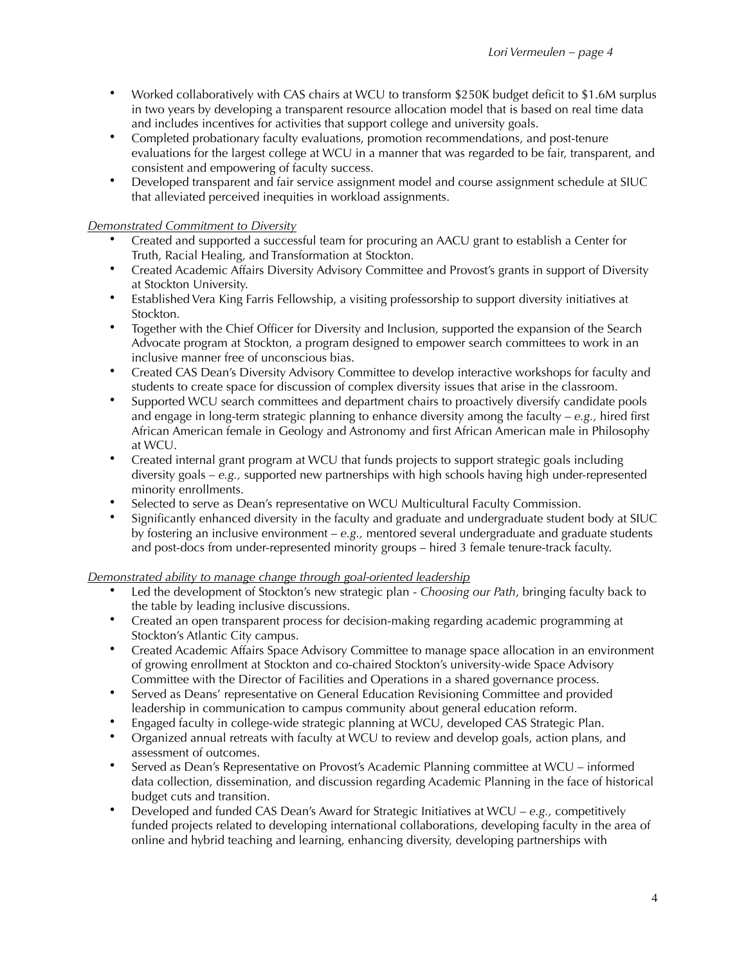- Worked collaboratively with CAS chairs at WCU to transform \$250K budget deficit to \$1.6M surplus in two years by developing a transparent resource allocation model that is based on real time data and includes incentives for activities that support college and university goals.
- Completed probationary faculty evaluations, promotion recommendations, and post-tenure evaluations for the largest college at WCU in a manner that was regarded to be fair, transparent, and consistent and empowering of faculty success.
- Developed transparent and fair service assignment model and course assignment schedule at SIUC that alleviated perceived inequities in workload assignments.

## *Demonstrated Commitment to Diversity*

- Created and supported a successful team for procuring an AACU grant to establish a Center for Truth, Racial Healing, and Transformation at Stockton.
- Created Academic Affairs Diversity Advisory Committee and Provost's grants in support of Diversity at Stockton University.
- Established Vera King Farris Fellowship, a visiting professorship to support diversity initiatives at Stockton.
- Together with the Chief Officer for Diversity and Inclusion, supported the expansion of the Search Advocate program at Stockton, a program designed to empower search committees to work in an inclusive manner free of unconscious bias.
- Created CAS Dean's Diversity Advisory Committee to develop interactive workshops for faculty and students to create space for discussion of complex diversity issues that arise in the classroom.
- Supported WCU search committees and department chairs to proactively diversify candidate pools and engage in long-term strategic planning to enhance diversity among the faculty – *e.g.,* hired first African American female in Geology and Astronomy and first African American male in Philosophy at WCU.
- Created internal grant program at WCU that funds projects to support strategic goals including diversity goals – *e.g.,* supported new partnerships with high schools having high under-represented minority enrollments.
- Selected to serve as Dean's representative on WCU Multicultural Faculty Commission.
- Significantly enhanced diversity in the faculty and graduate and undergraduate student body at SIUC by fostering an inclusive environment – *e.g.,* mentored several undergraduate and graduate students and post-docs from under-represented minority groups – hired 3 female tenure-track faculty.

## *Demonstrated ability to manage change through goal-oriented leadership*

- Led the development of Stockton's new strategic plan *Choosing our Path*, bringing faculty back to the table by leading inclusive discussions.
- Created an open transparent process for decision-making regarding academic programming at Stockton's Atlantic City campus.
- Created Academic Affairs Space Advisory Committee to manage space allocation in an environment of growing enrollment at Stockton and co-chaired Stockton's university-wide Space Advisory Committee with the Director of Facilities and Operations in a shared governance process.
- Served as Deans' representative on General Education Revisioning Committee and provided leadership in communication to campus community about general education reform.
- Engaged faculty in college-wide strategic planning at WCU, developed CAS Strategic Plan.
- Organized annual retreats with faculty at WCU to review and develop goals, action plans, and assessment of outcomes.
- Served as Dean's Representative on Provost's Academic Planning committee at WCU informed data collection, dissemination, and discussion regarding Academic Planning in the face of historical budget cuts and transition.
- Developed and funded CAS Dean's Award for Strategic Initiatives at WCU *e.g.,* competitively funded projects related to developing international collaborations, developing faculty in the area of online and hybrid teaching and learning, enhancing diversity, developing partnerships with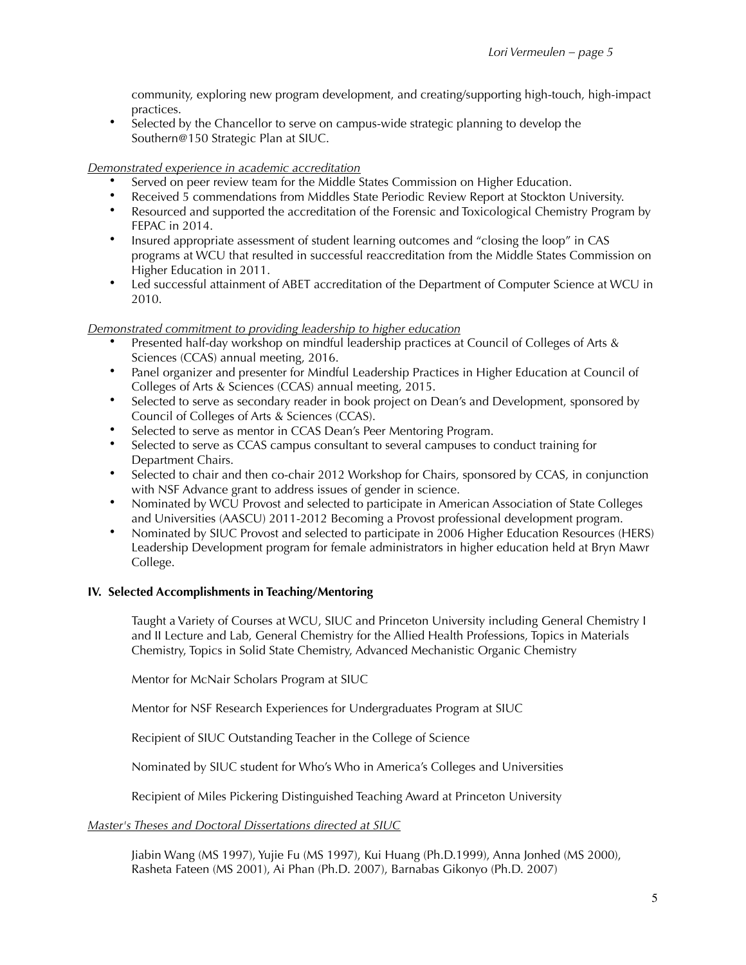community, exploring new program development, and creating/supporting high-touch, high-impact practices.

• Selected by the Chancellor to serve on campus-wide strategic planning to develop the Southern@150 Strategic Plan at SIUC.

## *Demonstrated experience in academic accreditation*

- Served on peer review team for the Middle States Commission on Higher Education.
- Received 5 commendations from Middles State Periodic Review Report at Stockton University.
- Resourced and supported the accreditation of the Forensic and Toxicological Chemistry Program by FEPAC in 2014.
- Insured appropriate assessment of student learning outcomes and "closing the loop" in CAS programs at WCU that resulted in successful reaccreditation from the Middle States Commission on Higher Education in 2011.
- Led successful attainment of ABET accreditation of the Department of Computer Science at WCU in 2010.

## *Demonstrated commitment to providing leadership to higher education*

- Presented half-day workshop on mindful leadership practices at Council of Colleges of Arts & Sciences (CCAS) annual meeting, 2016.
- Panel organizer and presenter for Mindful Leadership Practices in Higher Education at Council of Colleges of Arts & Sciences (CCAS) annual meeting, 2015.
- Selected to serve as secondary reader in book project on Dean's and Development, sponsored by Council of Colleges of Arts & Sciences (CCAS).
- Selected to serve as mentor in CCAS Dean's Peer Mentoring Program.
- Selected to serve as CCAS campus consultant to several campuses to conduct training for Department Chairs.
- Selected to chair and then co-chair 2012 Workshop for Chairs, sponsored by CCAS, in conjunction with NSF Advance grant to address issues of gender in science.
- Nominated by WCU Provost and selected to participate in American Association of State Colleges and Universities (AASCU) 2011-2012 Becoming a Provost professional development program.
- Nominated by SIUC Provost and selected to participate in 2006 Higher Education Resources (HERS) Leadership Development program for female administrators in higher education held at Bryn Mawr College.

## **IV. Selected Accomplishments in Teaching/Mentoring**

Taught a Variety of Courses at WCU, SIUC and Princeton University including General Chemistry I and II Lecture and Lab, General Chemistry for the Allied Health Professions, Topics in Materials Chemistry, Topics in Solid State Chemistry, Advanced Mechanistic Organic Chemistry

Mentor for McNair Scholars Program at SIUC

Mentor for NSF Research Experiences for Undergraduates Program at SIUC

Recipient of SIUC Outstanding Teacher in the College of Science

Nominated by SIUC student for Who's Who in America's Colleges and Universities

Recipient of Miles Pickering Distinguished Teaching Award at Princeton University

## *Master's Theses and Doctoral Dissertations directed at SIUC*

Jiabin Wang (MS 1997), Yujie Fu (MS 1997), Kui Huang (Ph.D.1999), Anna Jonhed (MS 2000), Rasheta Fateen (MS 2001), Ai Phan (Ph.D. 2007), Barnabas Gikonyo (Ph.D. 2007)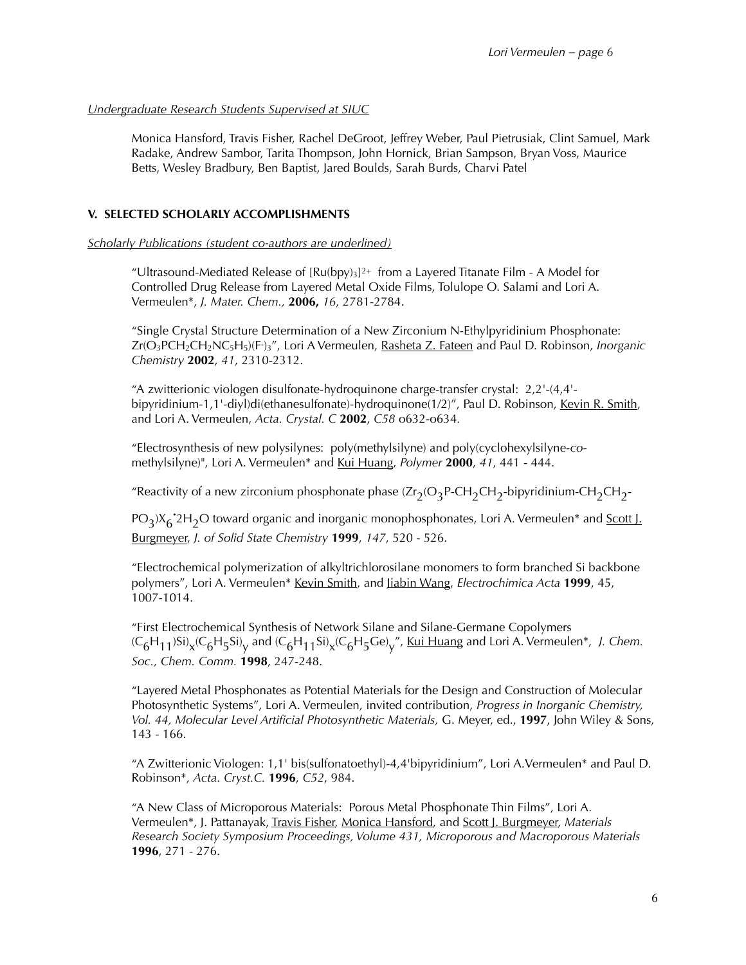## *Undergraduate Research Students Supervised at SIUC*

Monica Hansford, Travis Fisher, Rachel DeGroot, Jeffrey Weber, Paul Pietrusiak, Clint Samuel, Mark Radake, Andrew Sambor, Tarita Thompson, John Hornick, Brian Sampson, Bryan Voss, Maurice Betts, Wesley Bradbury, Ben Baptist, Jared Boulds, Sarah Burds, Charvi Patel

## **V. SELECTED SCHOLARLY ACCOMPLISHMENTS**

*Scholarly Publications (student co-authors are underlined)* 

"Ultrasound-Mediated Release of  $[Ru(bpy)_3]$ <sup>2+</sup> from a Layered Titanate Film - A Model for Controlled Drug Release from Layered Metal Oxide Films, Tolulope O. Salami and Lori A. Vermeulen\*, *J. Mater. Chem.,* **2006,** *16*, 2781-2784.

"Single Crystal Structure Determination of a New Zirconium N-Ethylpyridinium Phosphonate: Zr(O<sub>3</sub>PCH<sub>2</sub>CH<sub>2</sub>NC<sub>5</sub>H<sub>5</sub>)(F·)<sub>3</sub>″, Lori A Vermeulen, <u>Rasheta Z. Fateen</u> and Paul D. Robinson, *Inorganic Chemistry* **2002**, *41*, 2310-2312.

"A zwitterionic viologen disulfonate-hydroquinone charge-transfer crystal: 2,2'-(4,4' bipyridinium-1,1'-diyl)di(ethanesulfonate)-hydroquinone(1/2)", Paul D. Robinson, Kevin R. Smith, and Lori A. Vermeulen, *Acta. Crystal. C* **2002**, *C58* o632-o634*.*

"Electrosynthesis of new polysilynes: poly(methylsilyne) and poly(cyclohexylsilyne-*co*methylsilyne)", Lori A. Vermeulen\* and Kui Huang, *Polymer* **2000**, *41*, 441 - 444.

"Reactivity of a new zirconium phosphonate phase  $(\text{Zr}_2(\text{O}_3P\text{-CH}_2\text{CH}_2\text{-bipyridinium-CH}_2\text{CH}_2\text{-}$ 

PO<sub>3</sub>)X<sub>6</sub><sup>•</sup>2H<sub>2</sub>O toward organic and inorganic monophosphonates, Lori A. Vermeulen\* and <u>Scott J.</u> Burgmeyer, *J. of Solid State Chemistry* **1999**, *147*, 520 - 526.

"Electrochemical polymerization of alkyltrichlorosilane monomers to form branched Si backbone polymers", Lori A. Vermeulen\* Kevin Smith, and Jiabin Wang, *Electrochimica Acta* **1999**, 45, 1007-1014.

"First Electrochemical Synthesis of Network Silane and Silane-Germane Copolymers  $(C_6H_{11})Si$ <sub>X</sub> $(C_6H_5Si)$ <sub>V</sub> and  $(C_6H_{11}Si)$ <sub>X</sub> $(C_6H_5Ge)$ <sub>V</sub>", <u>Kui Huan</u>g and Lori A. Vermeulen<sup>\*</sup>, *J. Chem. Soc., Chem. Comm.* **1998**, 247-248.

"Layered Metal Phosphonates as Potential Materials for the Design and Construction of Molecular Photosynthetic Systems", Lori A. Vermeulen, invited contribution, *Progress in Inorganic Chemistry, Vol. 44, Molecular Level Artificial Photosynthetic Materials,* G. Meyer, ed., **1997**, John Wiley & Sons, 143 - 166.

"A Zwitterionic Viologen: 1,1' bis(sulfonatoethyl)-4,4'bipyridinium", Lori A.Vermeulen\* and Paul D. Robinson\*, *Acta. Cryst.C.* **1996**, *C52*, 984.

"A New Class of Microporous Materials: Porous Metal Phosphonate Thin Films", Lori A. Vermeulen\*, J. Pattanayak, Travis Fisher, Monica Hansford, and Scott J. Burgmeyer, *Materials Research Society Symposium Proceedings, Volume 431, Microporous and Macroporous Materials* **1996**, 271 - 276.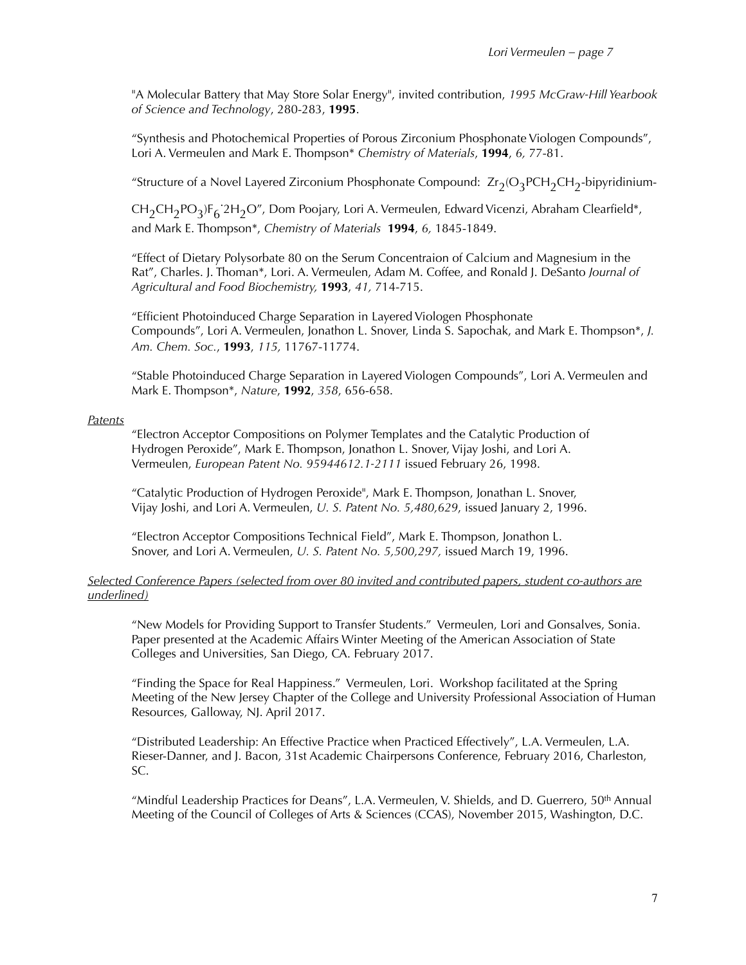"A Molecular Battery that May Store Solar Energy", invited contribution, *1995 McGraw-Hill Yearbook of Science and Technology*, 280-283, **1995**.

"Synthesis and Photochemical Properties of Porous Zirconium Phosphonate Viologen Compounds", Lori A. Vermeulen and Mark E. Thompson\* *Chemistry of Materials*, **1994**, *6,* 77-81.

"Structure of a Novel Layered Zirconium Phosphonate Compound:  $Zr_2(O_3PCH_2CH_2$ -bipyridinium-

 $\text{CH}_2\text{CH}_2\text{PO}_3$ ) $\text{F}_6$ ʻ2 $\text{H}_2\text{O}$ ″, Dom Poojary, Lori A. Vermeulen, Edward Vicenzi, Abraham Clearfield\*, and Mark E. Thompson\*, *Chemistry of Materials* **1994**, *6,* 1845-1849.

"Effect of Dietary Polysorbate 80 on the Serum Concentraion of Calcium and Magnesium in the Rat", Charles. J. Thoman\*, Lori. A. Vermeulen, Adam M. Coffee, and Ronald J. DeSanto *Journal of Agricultural and Food Biochemistry,* **1993**, *41,* 714-715.

 "Efficient Photoinduced Charge Separation in Layered Viologen Phosphonate Compounds", Lori A. Vermeulen, Jonathon L. Snover, Linda S. Sapochak, and Mark E. Thompson\*, *J. Am. Chem. Soc.*, **1993**, *115,* 11767-11774.

"Stable Photoinduced Charge Separation in Layered Viologen Compounds", Lori A. Vermeulen and Mark E. Thompson\*, *Nature*, **1992**, *358*, 656-658.

#### *Patents*

 "Electron Acceptor Compositions on Polymer Templates and the Catalytic Production of Hydrogen Peroxide", Mark E. Thompson, Jonathon L. Snover, Vijay Joshi, and Lori A. Vermeulen, *European Patent No. 95944612.1-2111* issued February 26, 1998.

 "Catalytic Production of Hydrogen Peroxide", Mark E. Thompson, Jonathan L. Snover, Vijay Joshi, and Lori A. Vermeulen, *U. S. Patent No. 5,480,629*, issued January 2, 1996.

 "Electron Acceptor Compositions Technical Field", Mark E. Thompson, Jonathon L. Snover, and Lori A. Vermeulen, *U. S. Patent No. 5,500,297,* issued March 19, 1996.

## *Selected Conference Papers (selected from over 80 invited and contributed papers, student co-authors are underlined)*

"New Models for Providing Support to Transfer Students." Vermeulen, Lori and Gonsalves, Sonia. Paper presented at the Academic Affairs Winter Meeting of the American Association of State Colleges and Universities, San Diego, CA. February 2017.

"Finding the Space for Real Happiness." Vermeulen, Lori. Workshop facilitated at the Spring Meeting of the New Jersey Chapter of the College and University Professional Association of Human Resources, Galloway, NJ. April 2017.

"Distributed Leadership: An Effective Practice when Practiced Effectively", L.A. Vermeulen, L.A. Rieser-Danner, and J. Bacon, 31st Academic Chairpersons Conference, February 2016, Charleston, SC.

"Mindful Leadership Practices for Deans", L.A. Vermeulen, V. Shields, and D. Guerrero, 50th Annual Meeting of the Council of Colleges of Arts & Sciences (CCAS), November 2015, Washington, D.C.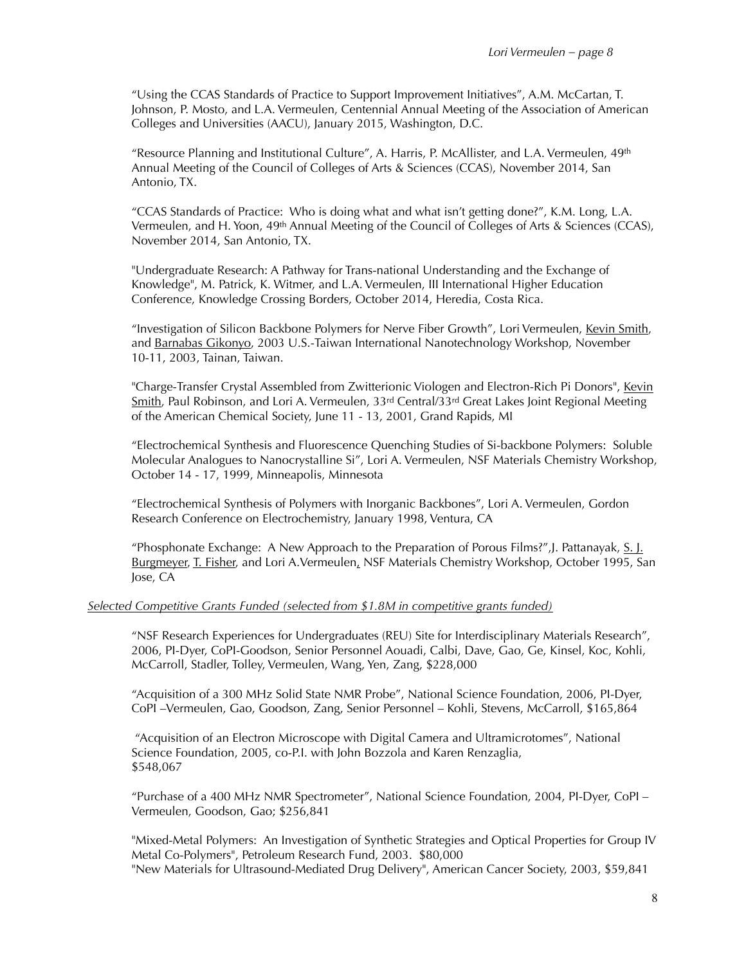"Using the CCAS Standards of Practice to Support Improvement Initiatives", A.M. McCartan, T. Johnson, P. Mosto, and L.A. Vermeulen, Centennial Annual Meeting of the Association of American Colleges and Universities (AACU), January 2015, Washington, D.C.

"Resource Planning and Institutional Culture", A. Harris, P. McAllister, and L.A. Vermeulen, 49<sup>th</sup> Annual Meeting of the Council of Colleges of Arts & Sciences (CCAS), November 2014, San Antonio, TX.

"CCAS Standards of Practice: Who is doing what and what isn't getting done?", K.M. Long, L.A. Vermeulen, and H. Yoon, 49th Annual Meeting of the Council of Colleges of Arts & Sciences (CCAS), November 2014, San Antonio, TX.

"Undergraduate Research: A Pathway for Trans-national Understanding and the Exchange of Knowledge", M. Patrick, K. Witmer, and L.A. Vermeulen, III International Higher Education Conference, Knowledge Crossing Borders, October 2014, Heredia, Costa Rica.

"Investigation of Silicon Backbone Polymers for Nerve Fiber Growth", Lori Vermeulen, Kevin Smith, and Barnabas Gikonyo, 2003 U.S.-Taiwan International Nanotechnology Workshop, November 10-11, 2003, Tainan, Taiwan.

"Charge-Transfer Crystal Assembled from Zwitterionic Viologen and Electron-Rich Pi Donors", Kevin Smith, Paul Robinson, and Lori A. Vermeulen,  $33<sup>rd</sup>$  Central/33<sup>rd</sup> Great Lakes Joint Regional Meeting of the American Chemical Society, June 11 - 13, 2001, Grand Rapids, MI

"Electrochemical Synthesis and Fluorescence Quenching Studies of Si-backbone Polymers: Soluble Molecular Analogues to Nanocrystalline Si", Lori A. Vermeulen, NSF Materials Chemistry Workshop, October 14 - 17, 1999, Minneapolis, Minnesota

"Electrochemical Synthesis of Polymers with Inorganic Backbones", Lori A. Vermeulen, Gordon Research Conference on Electrochemistry, January 1998, Ventura, CA

"Phosphonate Exchange: A New Approach to the Preparation of Porous Films?", J. Pattanayak,  $S_{1}$ . Burgmeyer, T. Fisher, and Lori A.Vermeulen, NSF Materials Chemistry Workshop, October 1995, San Jose, CA

## *Selected Competitive Grants Funded (selected from \$1.8M in competitive grants funded)*

"NSF Research Experiences for Undergraduates (REU) Site for Interdisciplinary Materials Research", 2006, PI-Dyer, CoPI-Goodson, Senior Personnel Aouadi, Calbi, Dave, Gao, Ge, Kinsel, Koc, Kohli, McCarroll, Stadler, Tolley, Vermeulen, Wang, Yen, Zang, \$228,000

"Acquisition of a 300 MHz Solid State NMR Probe", National Science Foundation, 2006, PI-Dyer, CoPI –Vermeulen, Gao, Goodson, Zang, Senior Personnel – Kohli, Stevens, McCarroll, \$165,864

 "Acquisition of an Electron Microscope with Digital Camera and Ultramicrotomes", National Science Foundation, 2005, co-P.I. with John Bozzola and Karen Renzaglia, \$548,067

"Purchase of a 400 MHz NMR Spectrometer", National Science Foundation, 2004, PI-Dyer, CoPI – Vermeulen, Goodson, Gao; \$256,841

"Mixed-Metal Polymers: An Investigation of Synthetic Strategies and Optical Properties for Group IV Metal Co-Polymers", Petroleum Research Fund, 2003. \$80,000 "New Materials for Ultrasound-Mediated Drug Delivery", American Cancer Society, 2003, \$59,841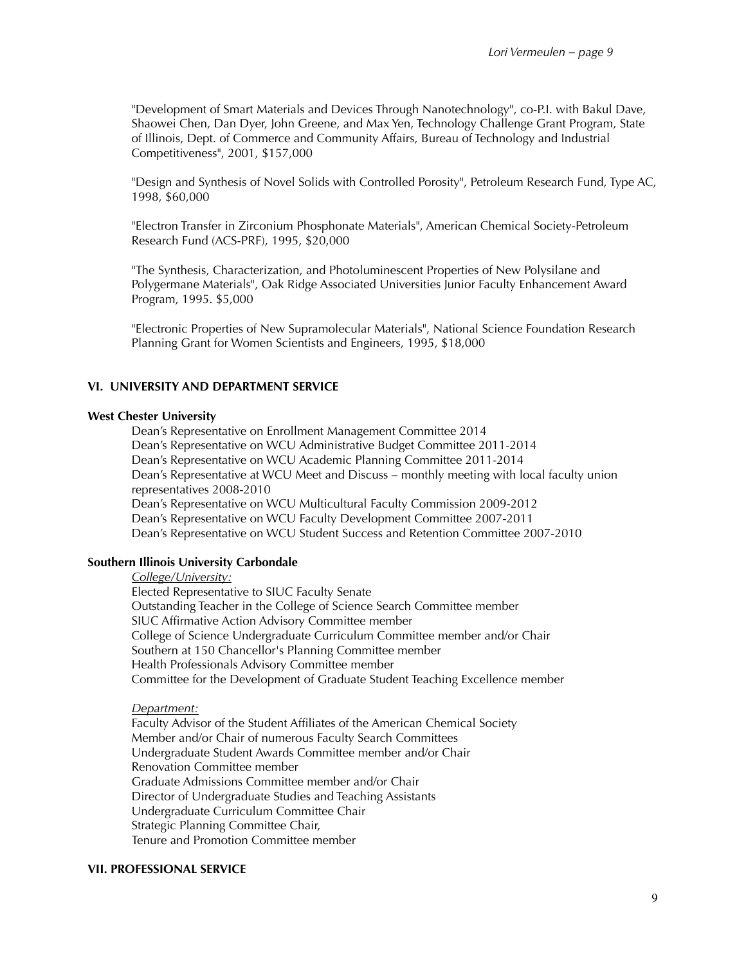"Development of Smart Materials and Devices Through Nanotechnology", co-P.I. with Bakul Dave, Shaowei Chen, Dan Dyer, John Greene, and Max Yen, Technology Challenge Grant Program, State of Illinois, Dept. of Commerce and Community Affairs, Bureau of Technology and Industrial Competitiveness", 2001, \$157,000

"Design and Synthesis of Novel Solids with Controlled Porosity", Petroleum Research Fund, Type AC, 1998, \$60,000

"Electron Transfer in Zirconium Phosphonate Materials", American Chemical Society-Petroleum Research Fund (ACS-PRF), 1995, \$20,000

"The Synthesis, Characterization, and Photoluminescent Properties of New Polysilane and Polygermane Materials", Oak Ridge Associated Universities Junior Faculty Enhancement Award Program, 1995. \$5,000

"Electronic Properties of New Supramolecular Materials", National Science Foundation Research Planning Grant for Women Scientists and Engineers, 1995, \$18,000

#### **VI. UNIVERSITY AND DEPARTMENT SERVICE**

#### **West Chester University**

Dean's Representative on Enrollment Management Committee 2014 Dean's Representative on WCU Administrative Budget Committee 2011-2014 Dean's Representative on WCU Academic Planning Committee 2011-2014 Dean's Representative at WCU Meet and Discuss – monthly meeting with local faculty union representatives 2008-2010 Dean's Representative on WCU Multicultural Faculty Commission 2009-2012 Dean's Representative on WCU Faculty Development Committee 2007-2011 Dean's Representative on WCU Student Success and Retention Committee 2007-2010

## **Southern Illinois University Carbondale**

*College/University:* 

Elected Representative to SIUC Faculty Senate Outstanding Teacher in the College of Science Search Committee member SIUC Affirmative Action Advisory Committee member College of Science Undergraduate Curriculum Committee member and/or Chair Southern at 150 Chancellor's Planning Committee member Health Professionals Advisory Committee member Committee for the Development of Graduate Student Teaching Excellence member

#### *Department:*

Faculty Advisor of the Student Affiliates of the American Chemical Society Member and/or Chair of numerous Faculty Search Committees Undergraduate Student Awards Committee member and/or Chair Renovation Committee member Graduate Admissions Committee member and/or Chair Director of Undergraduate Studies and Teaching Assistants Undergraduate Curriculum Committee Chair Strategic Planning Committee Chair, Tenure and Promotion Committee member

#### **VII. PROFESSIONAL SERVICE**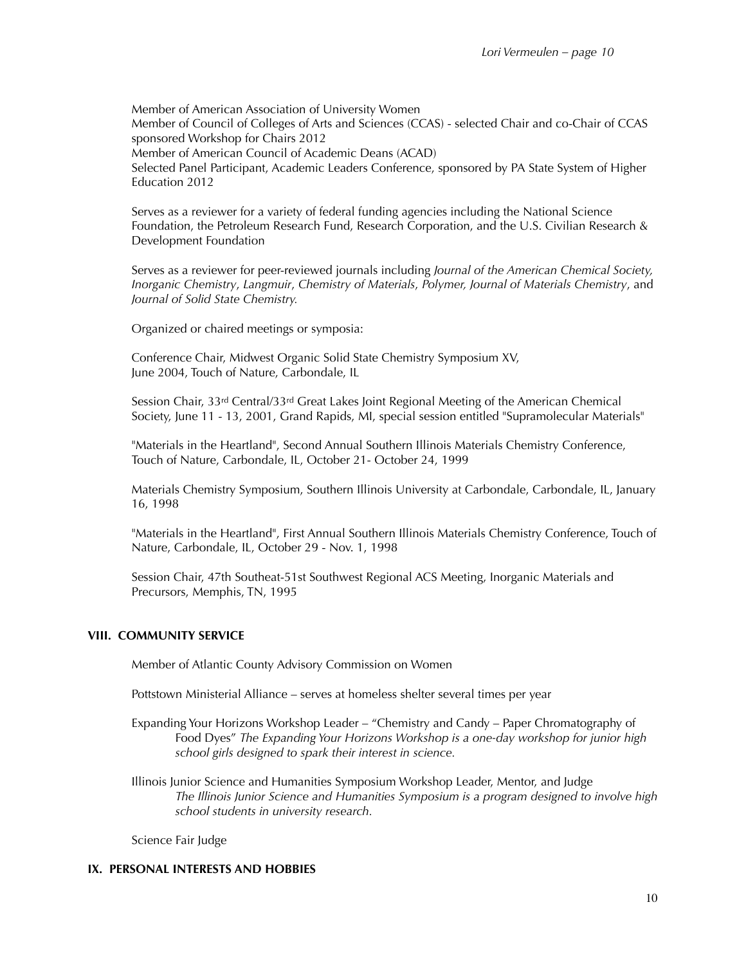Member of American Association of University Women Member of Council of Colleges of Arts and Sciences (CCAS) - selected Chair and co-Chair of CCAS sponsored Workshop for Chairs 2012 Member of American Council of Academic Deans (ACAD) Selected Panel Participant, Academic Leaders Conference, sponsored by PA State System of Higher Education 2012

Serves as a reviewer for a variety of federal funding agencies including the National Science Foundation, the Petroleum Research Fund, Research Corporation, and the U.S. Civilian Research & Development Foundation

Serves as a reviewer for peer-reviewed journals including *Journal of the American Chemical Society, Inorganic Chemistry*, *Langmuir*, *Chemistry of Materials*, *Polymer, Journal of Materials Chemistry*, and *Journal of Solid State Chemistry.*

Organized or chaired meetings or symposia:

Conference Chair, Midwest Organic Solid State Chemistry Symposium XV, June 2004, Touch of Nature, Carbondale, IL

Session Chair, 33rd Central/33rd Great Lakes Joint Regional Meeting of the American Chemical Society, June 11 - 13, 2001, Grand Rapids, MI, special session entitled "Supramolecular Materials"

"Materials in the Heartland", Second Annual Southern Illinois Materials Chemistry Conference, Touch of Nature, Carbondale, IL, October 21- October 24, 1999

Materials Chemistry Symposium, Southern Illinois University at Carbondale, Carbondale, IL, January 16, 1998

"Materials in the Heartland", First Annual Southern Illinois Materials Chemistry Conference, Touch of Nature, Carbondale, IL, October 29 - Nov. 1, 1998

Session Chair, 47th Southeat-51st Southwest Regional ACS Meeting, Inorganic Materials and Precursors, Memphis, TN, 1995

## **VIII. COMMUNITY SERVICE**

Member of Atlantic County Advisory Commission on Women

Pottstown Ministerial Alliance – serves at homeless shelter several times per year

- Expanding Your Horizons Workshop Leader "Chemistry and Candy Paper Chromatography of Food Dyes" *The Expanding Your Horizons Workshop is a one-day workshop for junior high school girls designed to spark their interest in science.*
- Illinois Junior Science and Humanities Symposium Workshop Leader, Mentor, and Judge *The Illinois Junior Science and Humanities Symposium is a program designed to involve high school students in university research.*

Science Fair Judge

#### **IX. PERSONAL INTERESTS AND HOBBIES**